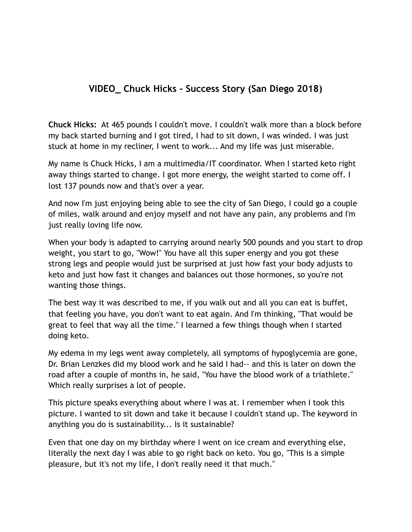## **VIDEO\_ Chuck Hicks - Success Story (San Diego 2018)**

**Chuck Hicks:** At 465 pounds I couldn't move. I couldn't walk more than a block before my back started burning and I got tired, I had to sit down, I was winded. I was just stuck at home in my recliner, I went to work... And my life was just miserable.

My name is Chuck Hicks, I am a multimedia/IT coordinator. When I started keto right away things started to change. I got more energy, the weight started to come off. I lost 137 pounds now and that's over a year.

And now I'm just enjoying being able to see the city of San Diego, I could go a couple of miles, walk around and enjoy myself and not have any pain, any problems and I'm just really loving life now.

When your body is adapted to carrying around nearly 500 pounds and you start to drop weight, you start to go, "Wow!" You have all this super energy and you got these strong legs and people would just be surprised at just how fast your body adjusts to keto and just how fast it changes and balances out those hormones, so you're not wanting those things.

The best way it was described to me, if you walk out and all you can eat is buffet, that feeling you have, you don't want to eat again. And I'm thinking, "That would be great to feel that way all the time." I learned a few things though when I started doing keto.

My edema in my legs went away completely, all symptoms of hypoglycemia are gone, Dr. Brian Lenzkes did my blood work and he said I had-- and this is later on down the road after a couple of months in, he said, "You have the blood work of a triathlete." Which really surprises a lot of people.

This picture speaks everything about where I was at. I remember when I took this picture. I wanted to sit down and take it because I couldn't stand up. The keyword in anything you do is sustainability... Is it sustainable?

Even that one day on my birthday where I went on ice cream and everything else, literally the next day I was able to go right back on keto. You go, "This is a simple pleasure, but it's not my life, I don't really need it that much."